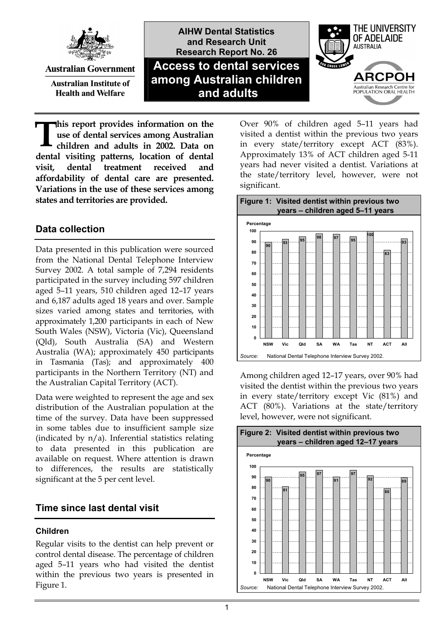

**Australian Government** 

**Australian Institute of Health and Welfare** 

**AIHW Dental Statistics and Research Unit Research Report No. 26 Access to dental services among Australian children and adults**



**his report provides information on the use of dental services among Australian children and adults in 2002. Data on dental visiting patterns, location of dental visit, dental treatment received and affordability of dental care are presented. Variations in the use of these services among states and territories are provided. T**

### **Data collection**

Data presented in this publication were sourced from the National Dental Telephone Interview Survey 2002. A total sample of 7,294 residents participated in the survey including 597 children aged 5–11 years, 510 children aged 12–17 years and 6,187 adults aged 18 years and over. Sample sizes varied among states and territories, with approximately 1,200 participants in each of New South Wales (NSW), Victoria (Vic), Queensland (Qld), South Australia (SA) and Western Australia (WA); approximately 450 participants in Tasmania (Tas); and approximately 400 participants in the Northern Territory (NT) and the Australian Capital Territory (ACT).

Data were weighted to represent the age and sex distribution of the Australian population at the time of the survey. Data have been suppressed in some tables due to insufficient sample size (indicated by  $n/a$ ). Inferential statistics relating to data presented in this publication are available on request. Where attention is drawn to differences, the results are statistically significant at the 5 per cent level.

### **Time since last dental visit**

### **Children**

Regular visits to the dentist can help prevent or control dental disease. The percentage of children aged 5–11 years who had visited the dentist within the previous two years is presented in Figure 1.

Over 90% of children aged 5–11 years had visited a dentist within the previous two years in every state/territory except ACT (83%). Approximately 13% of ACT children aged 5-11 years had never visited a dentist. Variations at the state/territory level, however, were not significant.



Among children aged 12–17 years, over 90% had visited the dentist within the previous two years in every state/territory except Vic (81%) and ACT (80%). Variations at the state/territory level, however, were not significant.

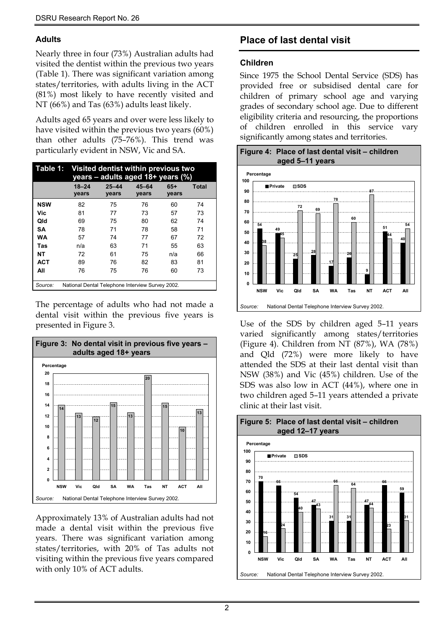### **Adults**

Nearly three in four (73%) Australian adults had visited the dentist within the previous two years (Table 1). There was significant variation among states/territories, with adults living in the ACT (81%) most likely to have recently visited and NT (66%) and Tas (63%) adults least likely.

Adults aged 65 years and over were less likely to have visited within the previous two years (60%) than other adults (75–76%). This trend was particularly evident in NSW, Vic and SA.

|            |                    | Table 1: Visited dentist within previous two<br>years - adults aged 18+ years (%) |                    |                |              |  |
|------------|--------------------|-----------------------------------------------------------------------------------|--------------------|----------------|--------------|--|
|            | $18 - 24$<br>years | $25 - 44$<br>years                                                                | $45 - 64$<br>years | $65+$<br>years | <b>Total</b> |  |
| <b>NSW</b> | 82                 | 75                                                                                | 76                 | 60             | 74           |  |
| Vic        | 81                 | 77                                                                                | 73                 | 57             | 73           |  |
| Qld        | 69                 | 75                                                                                | 80                 | 62             | 74           |  |
| SΑ         | 78                 | 71                                                                                | 78                 | 58             | 71           |  |
| WA         | 57                 | 74                                                                                | 77                 | 67             | 72           |  |
| Tas        | n/a                | 63                                                                                | 71                 | 55             | 63           |  |
| NΤ         | 72                 | 61                                                                                | 75                 | n/a            | 66           |  |
| <b>ACT</b> | 89                 | 76                                                                                | 82                 | 83             | 81           |  |
| All        | 76                 | 75                                                                                | 76                 | 60             | 73           |  |
| Source:    |                    | National Dental Telephone Interview Survey 2002.                                  |                    |                |              |  |

The percentage of adults who had not made a dental visit within the previous five years is presented in Figure 3.



Approximately 13% of Australian adults had not made a dental visit within the previous five years. There was significant variation among states/territories, with 20% of Tas adults not visiting within the previous five years compared with only 10% of ACT adults.

# **Place of last dental visit**

### **Children**

Since 1975 the School Dental Service (SDS) has provided free or subsidised dental care for children of primary school age and varying grades of secondary school age. Due to different eligibility criteria and resourcing, the proportions of children enrolled in this service vary significantly among states and territories.



Use of the SDS by children aged 5–11 years varied significantly among states/territories (Figure 4). Children from NT (87%), WA (78%) and Qld (72%) were more likely to have attended the SDS at their last dental visit than NSW (38%) and Vic (45%) children. Use of the SDS was also low in ACT (44%), where one in two children aged 5–11 years attended a private clinic at their last visit.

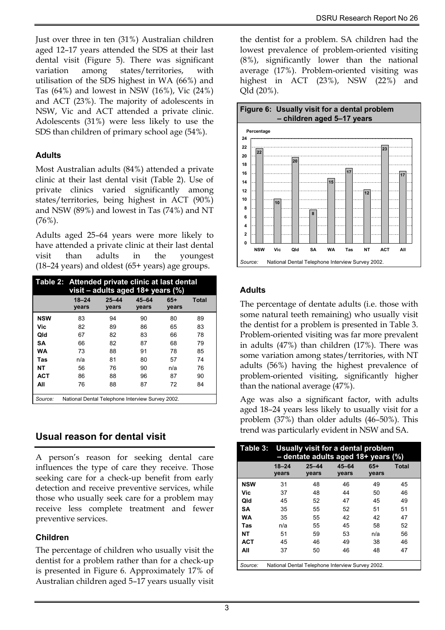Just over three in ten (31%) Australian children aged 12–17 years attended the SDS at their last dental visit (Figure 5). There was significant variation among states/territories, with utilisation of the SDS highest in WA (66%) and Tas (64%) and lowest in NSW (16%), Vic (24%) and ACT (23%). The majority of adolescents in NSW, Vic and ACT attended a private clinic. Adolescents (31%) were less likely to use the SDS than children of primary school age (54%).

### **Adults**

Most Australian adults (84%) attended a private clinic at their last dental visit (Table 2). Use of private clinics varied significantly among states/territories, being highest in ACT (90%) and NSW (89%) and lowest in Tas (74%) and NT (76%).

Adults aged 25–64 years were more likely to have attended a private clinic at their last dental visit than adults in the youngest (18–24 years) and oldest (65+ years) age groups.

|            | Table 2: Attended private clinic at last dental<br>visit – adults aged $18+$ years (%) |                    |                |                |       |
|------------|----------------------------------------------------------------------------------------|--------------------|----------------|----------------|-------|
|            | $18 - 24$<br>years                                                                     | $25 - 44$<br>vears | 45-64<br>years | $65+$<br>years | Total |
| <b>NSW</b> | 83                                                                                     | 94                 | 90             | 80             | 89    |
| Vic        | 82                                                                                     | 89                 | 86             | 65             | 83    |
| Qld        | 67                                                                                     | 82                 | 83             | 66             | 78    |
| SΑ         | 66                                                                                     | 82                 | 87             | 68             | 79    |
| WA         | 73                                                                                     | 88                 | 91             | 78             | 85    |
| Tas        | n/a                                                                                    | 81                 | 80             | 57             | 74    |
| NΤ         | 56                                                                                     | 76                 | 90             | n/a            | 76    |
| <b>ACT</b> | 86                                                                                     | 88                 | 96             | 87             | 90    |
| All        | 76                                                                                     | 88                 | 87             | 72             | 84    |
| Source:    | National Dental Telephone Interview Survey 2002.                                       |                    |                |                |       |

# **Usual reason for dental visit**

A person's reason for seeking dental care influences the type of care they receive. Those seeking care for a check-up benefit from early detection and receive preventive services, while those who usually seek care for a problem may receive less complete treatment and fewer preventive services.

### **Children**

The percentage of children who usually visit the dentist for a problem rather than for a check-up is presented in Figure 6. Approximately 17% of Australian children aged 5–17 years usually visit the dentist for a problem. SA children had the lowest prevalence of problem-oriented visiting (8%), significantly lower than the national average (17%). Problem-oriented visiting was highest in ACT (23%), NSW (22%) and Qld (20%).



### **Adults**

The percentage of dentate adults (i.e. those with some natural teeth remaining) who usually visit the dentist for a problem is presented in Table 3. Problem-oriented visiting was far more prevalent in adults (47%) than children (17%). There was some variation among states/territories, with NT adults (56%) having the highest prevalence of problem-oriented visiting, significantly higher than the national average (47%).

Age was also a significant factor, with adults aged 18–24 years less likely to usually visit for a problem (37%) than older adults (46–50%). This trend was particularly evident in NSW and SA.

|            |                                                  | Table 3: Usually visit for a dental problem<br>$-$ dentate adults aged 18+ years (%) |                    |                |              |  |
|------------|--------------------------------------------------|--------------------------------------------------------------------------------------|--------------------|----------------|--------------|--|
|            | $18 - 24$<br>years                               | $25 - 44$<br>years                                                                   | $45 - 64$<br>years | $65+$<br>years | <b>Total</b> |  |
| <b>NSW</b> | 31                                               | 48                                                                                   | 46                 | 49             | 45           |  |
| Vic        | 37                                               | 48                                                                                   | 44                 | 50             | 46           |  |
| Qld        | 45                                               | 52                                                                                   | 47                 | 45             | 49           |  |
| SΑ         | 35                                               | 55                                                                                   | 52                 | 51             | 51           |  |
| WA         | 35                                               | 55                                                                                   | 42                 | 42             | 47           |  |
| Tas        | n/a                                              | 55                                                                                   | 45                 | 58             | 52           |  |
| NΤ         | 51                                               | 59                                                                                   | 53                 | n/a            | 56           |  |
| <b>ACT</b> | 45                                               | 46                                                                                   | 49                 | 38             | 46           |  |
| All        | 37                                               | 50                                                                                   | 46                 | 48             | 47           |  |
| Source:    | National Dental Telephone Interview Survey 2002. |                                                                                      |                    |                |              |  |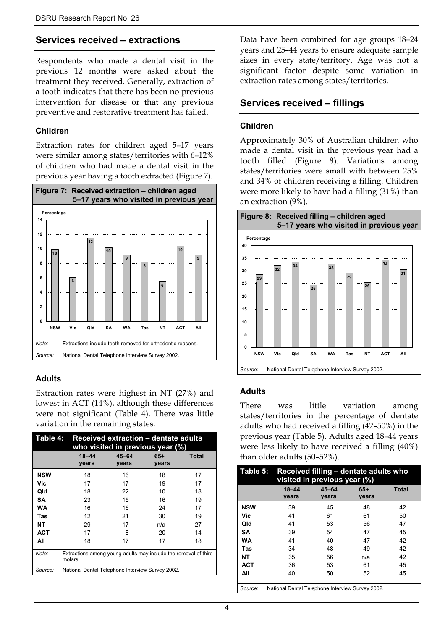### **Services received – extractions**

Respondents who made a dental visit in the previous 12 months were asked about the treatment they received. Generally, extraction of a tooth indicates that there has been no previous intervention for disease or that any previous preventive and restorative treatment has failed.

#### **Children**

Extraction rates for children aged 5–17 years were similar among states/territories with 6-12% of children who had made a dental visit in the previous year having a tooth extracted (Figure 7).



#### **Adults**

Extraction rates were highest in NT (27%) and lowest in ACT (14%), although these differences were not significant (Table 4). There was little variation in the remaining states.

| Table 4:   |                                                  | <b>Received extraction - dentate adults</b><br>who visited in previous year (%) |                |              |  |  |
|------------|--------------------------------------------------|---------------------------------------------------------------------------------|----------------|--------------|--|--|
|            | $18 - 44$<br>years                               | $45 - 64$<br>years                                                              | $65+$<br>years | <b>Total</b> |  |  |
| <b>NSW</b> | 18                                               | 16                                                                              | 18             | 17           |  |  |
| Vic        | 17                                               | 17                                                                              | 19             | 17           |  |  |
| Qld        | 18                                               | 22                                                                              | 10             | 18           |  |  |
| SA         | 23                                               | 15                                                                              | 16             | 19           |  |  |
| <b>WA</b>  | 16                                               | 16                                                                              | 24             | 17           |  |  |
| Tas        | 12                                               | 21                                                                              | 30             | 19           |  |  |
| NΤ         | 29                                               | 17                                                                              | n/a            | 27           |  |  |
| <b>ACT</b> | 17                                               | 8                                                                               | 20             | 14           |  |  |
| All        | 18                                               | 17                                                                              | 17             | 18           |  |  |
| Note:      | molars.                                          | Extractions among young adults may include the removal of third                 |                |              |  |  |
| Source:    | National Dental Telephone Interview Survey 2002. |                                                                                 |                |              |  |  |

Data have been combined for age groups 18–24 years and 25–44 years to ensure adequate sample sizes in every state/territory. Age was not a significant factor despite some variation in extraction rates among states/territories.

### **Services received – fillings**

### **Children**

Approximately 30% of Australian children who made a dental visit in the previous year had a tooth filled (Figure 8). Variations among states/territories were small with between 25% and 34% of children receiving a filling. Children were more likely to have had a filling (31%) than an extraction (9%).



### **Adults**

There was little variation among states/territories in the percentage of dentate adults who had received a filling (42–50%) in the previous year (Table 5). Adults aged 18–44 years were less likely to have received a filling (40%) than older adults (50–52%).

| Table 5:   |                                                  | Received filling - dentate adults who<br>visited in previous year (%) |                |              |  |  |  |
|------------|--------------------------------------------------|-----------------------------------------------------------------------|----------------|--------------|--|--|--|
|            | $18 - 44$<br>years                               | $45 - 64$<br>years                                                    | $65+$<br>years | <b>Total</b> |  |  |  |
| <b>NSW</b> | 39                                               | 45                                                                    | 48             | 42           |  |  |  |
| Vic        | 41                                               | 61                                                                    | 61             | 50           |  |  |  |
| Qld        | 41                                               | 53                                                                    | 56             | 47           |  |  |  |
| SΑ         | 39                                               | 54                                                                    | 47             | 45           |  |  |  |
| WA         | 41                                               | 40                                                                    | 47             | 42           |  |  |  |
| Tas        | 34                                               | 48                                                                    | 49             | 42           |  |  |  |
| NΤ         | 35                                               | 56                                                                    | n/a            | 42           |  |  |  |
| <b>ACT</b> | 36                                               | 53                                                                    | 61             | 45           |  |  |  |
| All        | 40                                               | 50                                                                    | 52             | 45           |  |  |  |
| Source:    | National Dental Telephone Interview Survey 2002. |                                                                       |                |              |  |  |  |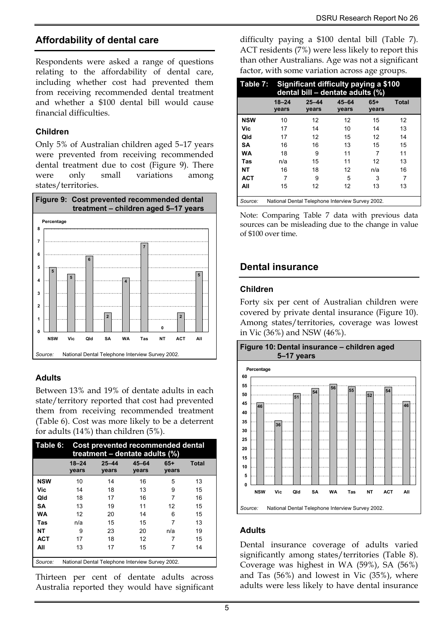### **Affordability of dental care**

Respondents were asked a range of questions relating to the affordability of dental care, including whether cost had prevented them from receiving recommended dental treatment and whether a \$100 dental bill would cause financial difficulties.

### **Children**

Only 5% of Australian children aged 5–17 years were prevented from receiving recommended dental treatment due to cost (Figure 9). There were only small variations among states/territories.



### **Adults**

Between 13% and 19% of dentate adults in each state/territory reported that cost had prevented them from receiving recommended treatment (Table 6). Cost was more likely to be a deterrent for adults (14%) than children (5%).

| Table 6:   |                    | Cost prevented recommended dental<br>treatment - dentate adults (%) |                    |                |       |  |
|------------|--------------------|---------------------------------------------------------------------|--------------------|----------------|-------|--|
|            | $18 - 24$<br>years | $25 - 44$<br>years                                                  | $45 - 64$<br>years | $65+$<br>vears | Total |  |
| <b>NSW</b> | 10                 | 14                                                                  | 16                 | 5              | 13    |  |
| Vic        | 14                 | 18                                                                  | 13                 | 9              | 15    |  |
| Qld        | 18                 | 17                                                                  | 16                 | 7              | 16    |  |
| SΑ         | 13                 | 19                                                                  | 11                 | 12             | 15    |  |
| <b>WA</b>  | 12                 | 20                                                                  | 14                 | 6              | 15    |  |
| Tas        | n/a                | 15                                                                  | 15                 | 7              | 13    |  |
| NΤ         | 9                  | 23                                                                  | 20                 | n/a            | 19    |  |
| <b>ACT</b> | 17                 | 18                                                                  | 12                 | 7              | 15    |  |
| All        | 13                 | 17                                                                  | 15                 | 7              | 14    |  |
| Source:    |                    | National Dental Telephone Interview Survey 2002.                    |                    |                |       |  |

Thirteen per cent of dentate adults across Australia reported they would have significant difficulty paying a \$100 dental bill (Table 7). ACT residents (7%) were less likely to report this than other Australians. Age was not a significant factor, with some variation across age groups.

|            |                                                  | Table 7: Significant difficulty paying a \$100<br>dental bill - dentate adults (%) |                    |                |              |  |  |
|------------|--------------------------------------------------|------------------------------------------------------------------------------------|--------------------|----------------|--------------|--|--|
|            | $18 - 24$<br>vears                               | $25 - 44$<br>years                                                                 | $45 - 64$<br>years | $65+$<br>years | <b>Total</b> |  |  |
| <b>NSW</b> | 10                                               | 12                                                                                 | 12                 | 15             | 12           |  |  |
| Vic        | 17                                               | 14                                                                                 | 10                 | 14             | 13           |  |  |
| Qld        | 17                                               | 12                                                                                 | 15                 | 12             | 14           |  |  |
| <b>SA</b>  | 16                                               | 16                                                                                 | 13                 | 15             | 15           |  |  |
| <b>WA</b>  | 18                                               | 9                                                                                  | 11                 | 7              | 11           |  |  |
| Tas        | n/a                                              | 15                                                                                 | 11                 | 12             | 13           |  |  |
| <b>NT</b>  | 16                                               | 18                                                                                 | 12                 | n/a            | 16           |  |  |
| <b>ACT</b> | 7                                                | 9                                                                                  | 5                  | 3              | 7            |  |  |
| All        | 15                                               | 12                                                                                 | 12                 | 13             | 13           |  |  |
| Source:    | National Dental Telephone Interview Survey 2002. |                                                                                    |                    |                |              |  |  |

Note: Comparing Table 7 data with previous data sources can be misleading due to the change in value of \$100 over time.

### **Dental insurance**

### **Children**

Forty six per cent of Australian children were covered by private dental insurance (Figure 10). Among states/territories, coverage was lowest in Vic (36%) and NSW (46%).



### **Adults**

Dental insurance coverage of adults varied significantly among states/territories (Table 8). Coverage was highest in WA (59%), SA (56%) and Tas (56%) and lowest in Vic (35%), where adults were less likely to have dental insurance